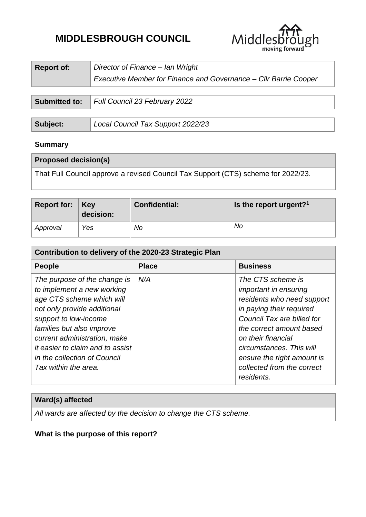# **MIDDLESBROUGH COUNCIL**



| <b>Report of:</b> | Director of Finance - Ian Wright<br>Executive Member for Finance and Governance - Cllr Barrie Cooper |
|-------------------|------------------------------------------------------------------------------------------------------|
|                   |                                                                                                      |
|                   | <b>Submitted to:</b>   Full Council 23 February 2022                                                 |

| Subject: | Local Council Tax Support 2022/23 |
|----------|-----------------------------------|
|          |                                   |

# **Summary**

| <b>Proposed decision(s)</b>                                                       |
|-----------------------------------------------------------------------------------|
| That Full Council approve a revised Council Tax Support (CTS) scheme for 2022/23. |

| Report for: $ $ Key | decision: | <b>Confidential:</b> | Is the report urgent? <sup>1</sup> |
|---------------------|-----------|----------------------|------------------------------------|
| Approval            | Yes       | No                   | No                                 |

| Contribution to delivery of the 2020-23 Strategic Plan                                                                                                                                                                                                                                                   |              |                                                                                                                                                                                                                                                                                                   |  |  |  |
|----------------------------------------------------------------------------------------------------------------------------------------------------------------------------------------------------------------------------------------------------------------------------------------------------------|--------------|---------------------------------------------------------------------------------------------------------------------------------------------------------------------------------------------------------------------------------------------------------------------------------------------------|--|--|--|
| <b>People</b>                                                                                                                                                                                                                                                                                            | <b>Place</b> | <b>Business</b>                                                                                                                                                                                                                                                                                   |  |  |  |
| The purpose of the change is<br>to implement a new working<br>age CTS scheme which will<br>not only provide additional<br>support to low-income<br>families but also improve<br>current administration, make<br>it easier to claim and to assist<br>in the collection of Council<br>Tax within the area. | N/A          | The CTS scheme is<br><i>important in ensuring</i><br>residents who need support<br>in paying their required<br>Council Tax are billed for<br>the correct amount based<br>on their financial<br>circumstances. This will<br>ensure the right amount is<br>collected from the correct<br>residents. |  |  |  |

# **Ward(s) affected**

1

*All wards are affected by the decision to change the CTS scheme.*

#### **What is the purpose of this report?**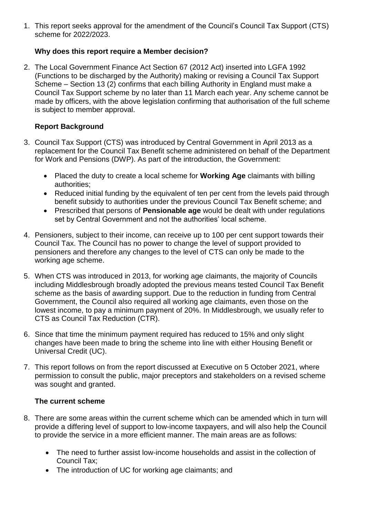1. This report seeks approval for the amendment of the Council's Council Tax Support (CTS) scheme for 2022/2023.

# **Why does this report require a Member decision?**

2. The Local Government Finance Act Section 67 (2012 Act) inserted into LGFA 1992 (Functions to be discharged by the Authority) making or revising a Council Tax Support Scheme – Section 13 (2) confirms that each billing Authority in England must make a Council Tax Support scheme by no later than 11 March each year. Any scheme cannot be made by officers, with the above legislation confirming that authorisation of the full scheme is subject to member approval.

# **Report Background**

- 3. Council Tax Support (CTS) was introduced by Central Government in April 2013 as a replacement for the Council Tax Benefit scheme administered on behalf of the Department for Work and Pensions (DWP). As part of the introduction, the Government:
	- Placed the duty to create a local scheme for **Working Age** claimants with billing authorities;
	- Reduced initial funding by the equivalent of ten per cent from the levels paid through benefit subsidy to authorities under the previous Council Tax Benefit scheme; and
	- Prescribed that persons of **Pensionable age** would be dealt with under regulations set by Central Government and not the authorities' local scheme.
- 4. Pensioners, subject to their income, can receive up to 100 per cent support towards their Council Tax. The Council has no power to change the level of support provided to pensioners and therefore any changes to the level of CTS can only be made to the working age scheme.
- 5. When CTS was introduced in 2013, for working age claimants, the majority of Councils including Middlesbrough broadly adopted the previous means tested Council Tax Benefit scheme as the basis of awarding support. Due to the reduction in funding from Central Government, the Council also required all working age claimants, even those on the lowest income, to pay a minimum payment of 20%. In Middlesbrough, we usually refer to CTS as Council Tax Reduction (CTR).
- 6. Since that time the minimum payment required has reduced to 15% and only slight changes have been made to bring the scheme into line with either Housing Benefit or Universal Credit (UC).
- 7. This report follows on from the report discussed at Executive on 5 October 2021, where permission to consult the public, major preceptors and stakeholders on a revised scheme was sought and granted.

# **The current scheme**

- 8. There are some areas within the current scheme which can be amended which in turn will provide a differing level of support to low-income taxpayers, and will also help the Council to provide the service in a more efficient manner. The main areas are as follows:
	- The need to further assist low-income households and assist in the collection of Council Tax;
	- The introduction of UC for working age claimants; and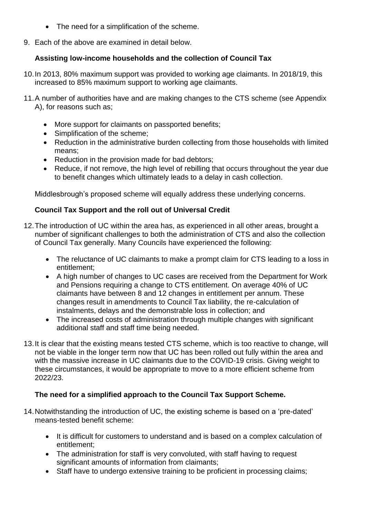- The need for a simplification of the scheme.
- 9. Each of the above are examined in detail below.

# **Assisting low-income households and the collection of Council Tax**

- 10.In 2013, 80% maximum support was provided to working age claimants. In 2018/19, this increased to 85% maximum support to working age claimants.
- 11.A number of authorities have and are making changes to the CTS scheme (see Appendix A), for reasons such as;
	- More support for claimants on passported benefits;
	- Simplification of the scheme;
	- Reduction in the administrative burden collecting from those households with limited means;
	- Reduction in the provision made for bad debtors:
	- Reduce, if not remove, the high level of rebilling that occurs throughout the year due to benefit changes which ultimately leads to a delay in cash collection.

Middlesbrough's proposed scheme will equally address these underlying concerns.

# **Council Tax Support and the roll out of Universal Credit**

- 12.The introduction of UC within the area has, as experienced in all other areas, brought a number of significant challenges to both the administration of CTS and also the collection of Council Tax generally. Many Councils have experienced the following:
	- The reluctance of UC claimants to make a prompt claim for CTS leading to a loss in entitlement;
	- A high number of changes to UC cases are received from the Department for Work and Pensions requiring a change to CTS entitlement. On average 40% of UC claimants have between 8 and 12 changes in entitlement per annum. These changes result in amendments to Council Tax liability, the re-calculation of instalments, delays and the demonstrable loss in collection; and
	- The increased costs of administration through multiple changes with significant additional staff and staff time being needed.
- 13.It is clear that the existing means tested CTS scheme, which is too reactive to change, will not be viable in the longer term now that UC has been rolled out fully within the area and with the massive increase in UC claimants due to the COVID-19 crisis. Giving weight to these circumstances, it would be appropriate to move to a more efficient scheme from 2022/23.

# **The need for a simplified approach to the Council Tax Support Scheme.**

- 14.Notwithstanding the introduction of UC, the existing scheme is based on a 'pre-dated' means-tested benefit scheme:
	- It is difficult for customers to understand and is based on a complex calculation of entitlement;
	- The administration for staff is very convoluted, with staff having to request significant amounts of information from claimants;
	- Staff have to undergo extensive training to be proficient in processing claims;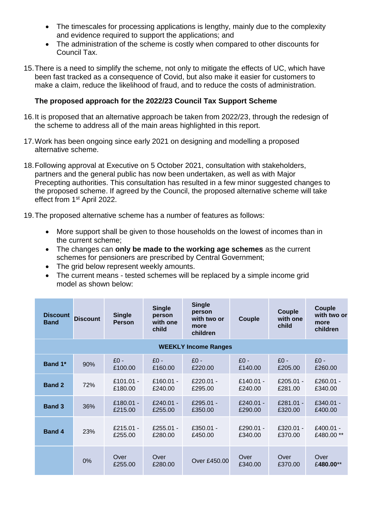- The timescales for processing applications is lengthy, mainly due to the complexity and evidence required to support the applications; and
- The administration of the scheme is costly when compared to other discounts for Council Tax.
- 15.There is a need to simplify the scheme, not only to mitigate the effects of UC, which have been fast tracked as a consequence of Covid, but also make it easier for customers to make a claim, reduce the likelihood of fraud, and to reduce the costs of administration.

### **The proposed approach for the 2022/23 Council Tax Support Scheme**

- 16.It is proposed that an alternative approach be taken from 2022/23, through the redesign of the scheme to address all of the main areas highlighted in this report.
- 17.Work has been ongoing since early 2021 on designing and modelling a proposed alternative scheme.
- 18.Following approval at Executive on 5 October 2021, consultation with stakeholders, partners and the general public has now been undertaken, as well as with Major Precepting authorities. This consultation has resulted in a few minor suggested changes to the proposed scheme. If agreed by the Council, the proposed alternative scheme will take effect from 1st April 2022.
- 19.The proposed alternative scheme has a number of features as follows:
	- More support shall be given to those households on the lowest of incomes than in the current scheme;
	- The changes can **only be made to the working age schemes** as the current schemes for pensioners are prescribed by Central Government;
	- The grid below represent weekly amounts.
	- The current means tested schemes will be replaced by a simple income grid model as shown below:

| <b>Discount</b><br><b>Band</b> | <b>Discount</b> | <b>Single</b><br><b>Person</b> | <b>Single</b><br>person<br>with one<br>child | <b>Single</b><br>person<br>with two or<br>more<br>children | Couple               | Couple<br>with one<br>child | Couple<br>with two or<br>more<br>children |
|--------------------------------|-----------------|--------------------------------|----------------------------------------------|------------------------------------------------------------|----------------------|-----------------------------|-------------------------------------------|
| <b>WEEKLY Income Ranges</b>    |                 |                                |                                              |                                                            |                      |                             |                                           |
| Band 1*                        | 90%             | $£0 -$<br>£100.00              | $f(0 -$<br>£160.00                           | $£0 -$<br>£220.00                                          | $£0 -$<br>£140.00    | $f(0 -$<br>£205.00          | $£0 -$<br>£260.00                         |
| <b>Band 2</b>                  | 72%             | £101.01 -<br>£180.00           | $£160.01 -$<br>£240.00                       | £220.01 -<br>£295.00                                       | £140.01 -<br>£240.00 | £205.01 -<br>£281.00        | £260.01 -<br>£340.00                      |
| <b>Band 3</b>                  | 36%             | £180.01 -<br>£215.00           | £240.01 -<br>£255.00                         | £295.01 -<br>£350.00                                       | £240.01 -<br>£290.00 | £281.01 -<br>£320.00        | £340.01 -<br>£400.00                      |
| <b>Band 4</b>                  | 23%             | £215.01 -<br>£255.00           | £255.01 -<br>£280.00                         | $£350.01 -$<br>£450.00                                     | £290.01 -<br>£340.00 | $£320.01 -$<br>£370.00      | £400.01 -<br>£480.00**                    |
|                                | $0\%$           | Over<br>£255.00                | Over<br>£280.00                              | Over £450.00                                               | Over<br>£340.00      | Over<br>£370.00             | Over<br>£480.00**                         |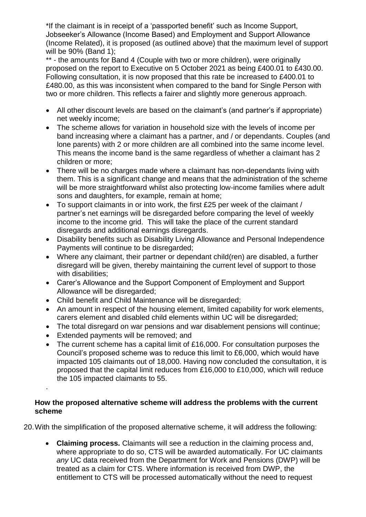\*If the claimant is in receipt of a 'passported benefit' such as Income Support, Jobseeker's Allowance (Income Based) and Employment and Support Allowance (Income Related), it is proposed (as outlined above) that the maximum level of support will be 90% (Band 1);

\*\* - the amounts for Band 4 (Couple with two or more children), were originally proposed on the report to Executive on 5 October 2021 as being £400.01 to £430.00. Following consultation, it is now proposed that this rate be increased to £400.01 to £480.00, as this was inconsistent when compared to the band for Single Person with two or more children. This reflects a fairer and slightly more generous approach.

- All other discount levels are based on the claimant's (and partner's if appropriate) net weekly income;
- The scheme allows for variation in household size with the levels of income per band increasing where a claimant has a partner, and / or dependants. Couples (and lone parents) with 2 or more children are all combined into the same income level. This means the income band is the same regardless of whether a claimant has 2 children or more;
- There will be no charges made where a claimant has non-dependants living with them. This is a significant change and means that the administration of the scheme will be more straightforward whilst also protecting low-income families where adult sons and daughters, for example, remain at home;
- To support claimants in or into work, the first £25 per week of the claimant / partner's net earnings will be disregarded before comparing the level of weekly income to the income grid. This will take the place of the current standard disregards and additional earnings disregards.
- Disability benefits such as Disability Living Allowance and Personal Independence Payments will continue to be disregarded;
- Where any claimant, their partner or dependant child(ren) are disabled, a further disregard will be given, thereby maintaining the current level of support to those with disabilities:
- Carer's Allowance and the Support Component of Employment and Support Allowance will be disregarded;
- Child benefit and Child Maintenance will be disregarded:
- An amount in respect of the housing element, limited capability for work elements, carers element and disabled child elements within UC will be disregarded;
- The total disregard on war pensions and war disablement pensions will continue;
- Extended payments will be removed; and

.

 The current scheme has a capital limit of £16,000. For consultation purposes the Council's proposed scheme was to reduce this limit to £6,000, which would have impacted 105 claimants out of 18,000. Having now concluded the consultation, it is proposed that the capital limit reduces from £16,000 to £10,000, which will reduce the 105 impacted claimants to 55.

#### **How the proposed alternative scheme will address the problems with the current scheme**

20.With the simplification of the proposed alternative scheme, it will address the following:

 **Claiming process.** Claimants will see a reduction in the claiming process and, where appropriate to do so, CTS will be awarded automatically. For UC claimants *any* UC data received from the Department for Work and Pensions (DWP) will be treated as a claim for CTS. Where information is received from DWP, the entitlement to CTS will be processed automatically without the need to request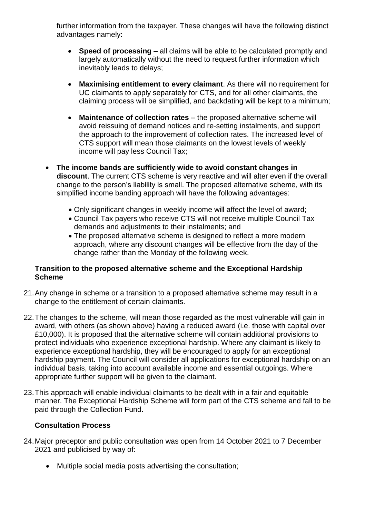further information from the taxpayer. These changes will have the following distinct advantages namely:

- **Speed of processing** all claims will be able to be calculated promptly and largely automatically without the need to request further information which inevitably leads to delays;
- **Maximising entitlement to every claimant**. As there will no requirement for UC claimants to apply separately for CTS, and for all other claimants, the claiming process will be simplified, and backdating will be kept to a minimum;
- Maintenance of collection rates the proposed alternative scheme will avoid reissuing of demand notices and re-setting instalments, and support the approach to the improvement of collection rates. The increased level of CTS support will mean those claimants on the lowest levels of weekly income will pay less Council Tax;
- **The income bands are sufficiently wide to avoid constant changes in discount**. The current CTS scheme is very reactive and will alter even if the overall change to the person's liability is small. The proposed alternative scheme, with its simplified income banding approach will have the following advantages:
	- Only significant changes in weekly income will affect the level of award;
	- Council Tax payers who receive CTS will not receive multiple Council Tax demands and adjustments to their instalments; and
	- The proposed alternative scheme is designed to reflect a more modern approach, where any discount changes will be effective from the day of the change rather than the Monday of the following week.

### **Transition to the proposed alternative scheme and the Exceptional Hardship Scheme**

- 21.Any change in scheme or a transition to a proposed alternative scheme may result in a change to the entitlement of certain claimants.
- 22.The changes to the scheme, will mean those regarded as the most vulnerable will gain in award, with others (as shown above) having a reduced award (i.e. those with capital over £10,000). It is proposed that the alternative scheme will contain additional provisions to protect individuals who experience exceptional hardship. Where any claimant is likely to experience exceptional hardship, they will be encouraged to apply for an exceptional hardship payment. The Council will consider all applications for exceptional hardship on an individual basis, taking into account available income and essential outgoings. Where appropriate further support will be given to the claimant.
- 23.This approach will enable individual claimants to be dealt with in a fair and equitable manner. The Exceptional Hardship Scheme will form part of the CTS scheme and fall to be paid through the Collection Fund.

### **Consultation Process**

- 24.Major preceptor and public consultation was open from 14 October 2021 to 7 December 2021 and publicised by way of:
	- Multiple social media posts advertising the consultation;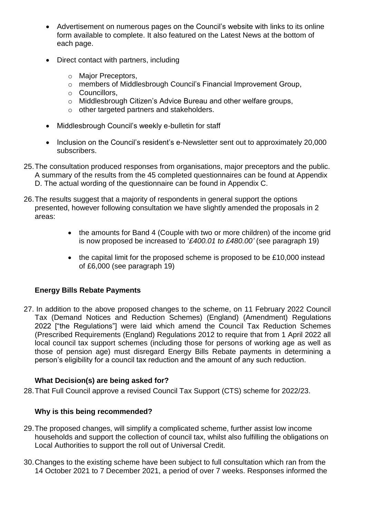- Advertisement on numerous pages on the Council's website with links to its online form available to complete. It also featured on the Latest News at the bottom of each page.
- Direct contact with partners, including
	- o Major Preceptors,
	- o members of Middlesbrough Council's Financial Improvement Group,
	- o Councillors,
	- o Middlesbrough Citizen's Advice Bureau and other welfare groups,
	- o other targeted partners and stakeholders.
- Middlesbrough Council's weekly e-bulletin for staff
- Inclusion on the Council's resident's e-Newsletter sent out to approximately 20,000 subscribers.
- 25.The consultation produced responses from organisations, major preceptors and the public. A summary of the results from the 45 completed questionnaires can be found at Appendix D. The actual wording of the questionnaire can be found in Appendix C.
- 26.The results suggest that a majority of respondents in general support the options presented, however following consultation we have slightly amended the proposals in 2 areas:
	- the amounts for Band 4 (Couple with two or more children) of the income grid is now proposed be increased to '*£400.01 to £480.00'* (see paragraph 19)
	- the capital limit for the proposed scheme is proposed to be £10,000 instead of £6,000 (see paragraph 19)

# **Energy Bills Rebate Payments**

27. In addition to the above proposed changes to the scheme, on 11 February 2022 Council Tax (Demand Notices and Reduction Schemes) (England) (Amendment) Regulations 2022 ["the Regulations"] were laid which amend the Council Tax Reduction Schemes (Prescribed Requirements (England) Regulations 2012 to require that from 1 April 2022 all local council tax support schemes (including those for persons of working age as well as those of pension age) must disregard Energy Bills Rebate payments in determining a person's eligibility for a council tax reduction and the amount of any such reduction.

# **What Decision(s) are being asked for?**

28.That Full Council approve a revised Council Tax Support (CTS) scheme for 2022/23.

# **Why is this being recommended?**

- 29.The proposed changes, will simplify a complicated scheme, further assist low income households and support the collection of council tax, whilst also fulfilling the obligations on Local Authorities to support the roll out of Universal Credit.
- 30.Changes to the existing scheme have been subject to full consultation which ran from the 14 October 2021 to 7 December 2021, a period of over 7 weeks. Responses informed the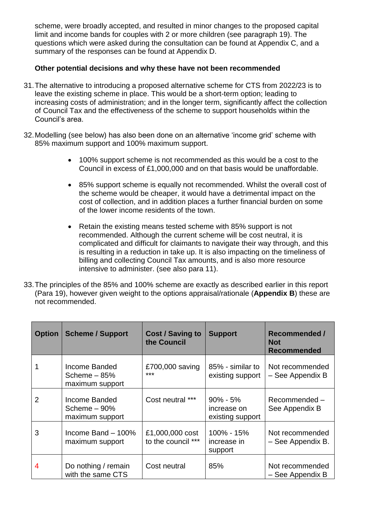scheme, were broadly accepted, and resulted in minor changes to the proposed capital limit and income bands for couples with 2 or more children (see paragraph 19). The questions which were asked during the consultation can be found at Appendix C, and a summary of the responses can be found at Appendix D.

#### **Other potential decisions and why these have not been recommended**

- 31.The alternative to introducing a proposed alternative scheme for CTS from 2022/23 is to leave the existing scheme in place. This would be a short-term option; leading to increasing costs of administration; and in the longer term, significantly affect the collection of Council Tax and the effectiveness of the scheme to support households within the Council's area.
- 32.Modelling (see below) has also been done on an alternative 'income grid' scheme with 85% maximum support and 100% maximum support.
	- 100% support scheme is not recommended as this would be a cost to the Council in excess of £1,000,000 and on that basis would be unaffordable.
	- 85% support scheme is equally not recommended. Whilst the overall cost of the scheme would be cheaper, it would have a detrimental impact on the cost of collection, and in addition places a further financial burden on some of the lower income residents of the town.
	- Retain the existing means tested scheme with 85% support is not recommended. Although the current scheme will be cost neutral, it is complicated and difficult for claimants to navigate their way through, and this is resulting in a reduction in take up. It is also impacting on the timeliness of billing and collecting Council Tax amounts, and is also more resource intensive to administer. (see also para 11).
- 33.The principles of the 85% and 100% scheme are exactly as described earlier in this report (Para 19), however given weight to the options appraisal/rationale (**Appendix B**) these are not recommended.

| <b>Option</b> | <b>Scheme / Support</b>                           | <b>Cost / Saving to</b><br>the Council | <b>Support</b>                                  | <b>Recommended /</b><br><b>Not</b><br>Recommended |
|---------------|---------------------------------------------------|----------------------------------------|-------------------------------------------------|---------------------------------------------------|
|               | Income Banded<br>Scheme $-85%$<br>maximum support | £700,000 saving<br>***                 | 85% - similar to<br>existing support            | Not recommended<br>- See Appendix B               |
| 2             | Income Banded<br>Scheme $-90%$<br>maximum support | Cost neutral ***                       | $90\% - 5\%$<br>increase on<br>existing support | Recommended-<br>See Appendix B                    |
| 3             | Income Band $-100\%$<br>maximum support           | £1,000,000 cost<br>to the council ***  | 100% - 15%<br>increase in<br>support            | Not recommended<br>- See Appendix B.              |
| 4             | Do nothing / remain<br>with the same CTS          | Cost neutral                           | 85%                                             | Not recommended<br>- See Appendix B               |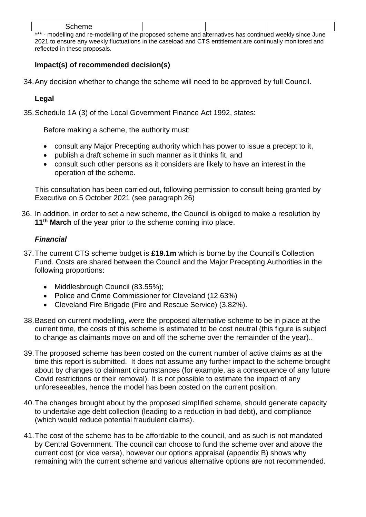|                                   | ``<br>$\sim$ $\sim$ $\sim$ $\sim$ $\sim$ $\sim$ |  |  |  |  |
|-----------------------------------|-------------------------------------------------|--|--|--|--|
| ا علم علم علم<br>$-112$<br>.<br>. |                                                 |  |  |  |  |

\* - modelling and re-modelling of the proposed scheme and alternatives has continued weekly since June 2021 to ensure any weekly fluctuations in the caseload and CTS entitlement are continually monitored and reflected in these proposals.

# **Impact(s) of recommended decision(s)**

34.Any decision whether to change the scheme will need to be approved by full Council.

#### **Legal**

35.Schedule 1A (3) of the Local Government Finance Act 1992, states:

Before making a scheme, the authority must:

- consult any Major Precepting authority which has power to issue a precept to it,
- publish a draft scheme in such manner as it thinks fit, and
- consult such other persons as it considers are likely to have an interest in the operation of the scheme.

This consultation has been carried out, following permission to consult being granted by Executive on 5 October 2021 (see paragraph 26)

36. In addition, in order to set a new scheme, the Council is obliged to make a resolution by **11th March** of the year prior to the scheme coming into place.

#### *Financial*

- 37.The current CTS scheme budget is **£19.1m** which is borne by the Council's Collection Fund. Costs are shared between the Council and the Major Precepting Authorities in the following proportions:
	- Middlesbrough Council (83.55%);
	- Police and Crime Commissioner for Cleveland (12.63%)
	- Cleveland Fire Brigade (Fire and Rescue Service) (3.82%).
- 38.Based on current modelling, were the proposed alternative scheme to be in place at the current time, the costs of this scheme is estimated to be cost neutral (this figure is subject to change as claimants move on and off the scheme over the remainder of the year)..
- 39.The proposed scheme has been costed on the current number of active claims as at the time this report is submitted. It does not assume any further impact to the scheme brought about by changes to claimant circumstances (for example, as a consequence of any future Covid restrictions or their removal). It is not possible to estimate the impact of any unforeseeables, hence the model has been costed on the current position.
- 40.The changes brought about by the proposed simplified scheme, should generate capacity to undertake age debt collection (leading to a reduction in bad debt), and compliance (which would reduce potential fraudulent claims).
- 41.The cost of the scheme has to be affordable to the council, and as such is not mandated by Central Government. The council can choose to fund the scheme over and above the current cost (or vice versa), however our options appraisal (appendix B) shows why remaining with the current scheme and various alternative options are not recommended.